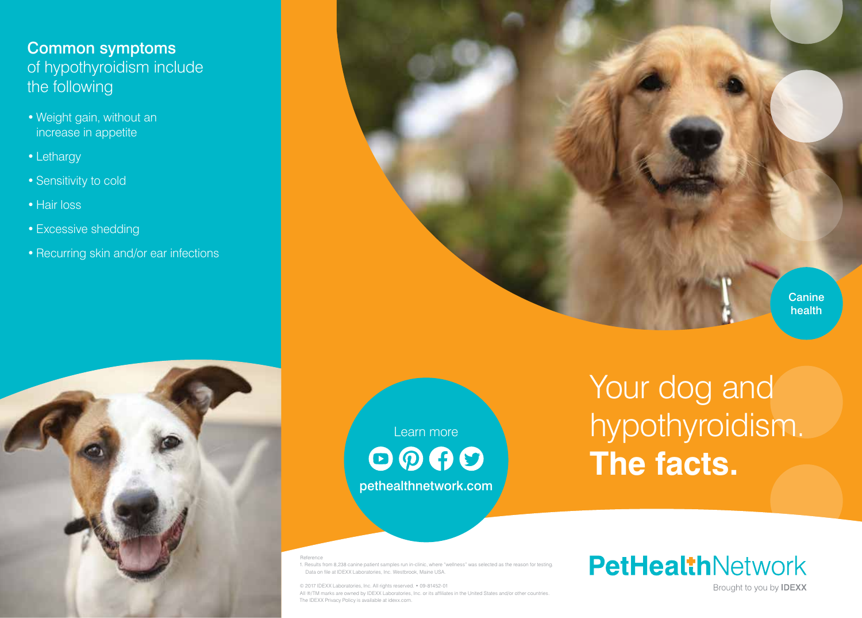# Common symptoms of hypothyroidism include the following

- Weight gain, without an increase in appetite
- Lethargy
- Sensitivity to cold
- Hair loss
- Excessive shedding
- Recurring skin and/or ear infections



Learn more  $\odot$   $\odot$   $\odot$ pethealthnetwork.com Your dog and hypothyroidism. **The facts.** 

Reference

1. Results from 8,238 canine patient samples run in-clinic, where "wellness" was selected as the reason for testing. Data on file at IDEXX Laboratories, Inc. Westbrook, Maine USA.

© 2017 IDEXX Laboratories, Inc. All rights reserved. • 09-81452-01 All ®/TM marks are owned by IDEXX Laboratories, Inc. or its affiliates in the United States and/or other countries. The IDEXX Privacy Policy is available at idexx.com.

**PetHealthNetwork** 

Brought to you by **IDEXX** 

**Canine** health